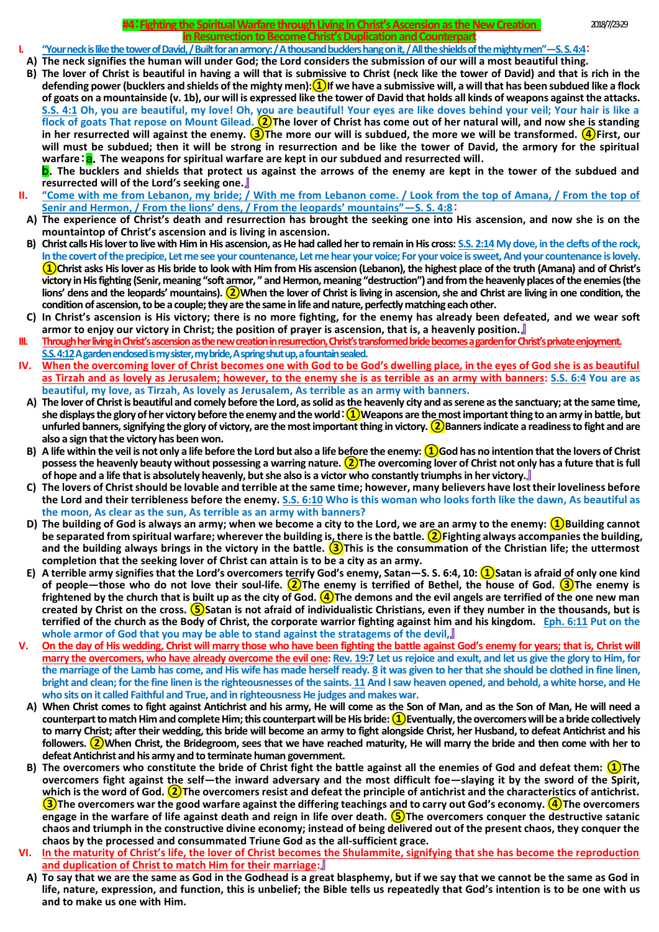## **#4**:**Fighting the Spiritual Warfare through Living in Christ's Ascension as the New Creation** 2018/7/23-29 **in Resurrection to Become Christ's Duplication and Counterpart**

- **I. "Your neck is like the tower of David, / Built for an armory: / A thousand bucklers hang on it, / All the shields of the mighty men"—S. S. 4:4**:
- **A) The neck signifies the human will under God; the Lord considers the submission of our will a most beautiful thing.**
- **B) The lover of Christ is beautiful in having a will that is submissive to Christ (neck like the tower of David) and that is rich in the defending power (bucklers and shields of the mighty men):①If we have a submissive will, a will that has been subdued like a flock of goats on a mountainside (v. 1b), our will is expressed like the tower of David that holds all kinds of weapons against the attacks. S.S. 4:1 Oh, you are beautiful, my love! Oh, you are beautiful! Your eyes are like doves behind your veil; Your hair is like a flock of goats That repose on Mount Gilead. ②The lover of Christ has come out of her natural will, and now she is standing in her resurrected will against the enemy. ③The more our will is subdued, the more we will be transformed. ④First, our will must be subdued; then it will be strong in resurrection and be like the tower of David, the armory for the spiritual warfare: a**. The weapons for spiritual warfare are kept in our subdued and resurrected will.

b.**The bucklers and shields that protect us against the arrows of the enemy are kept in the tower of the subdued and resurrected will of the Lord's seeking one.**』

- **II. "Come with me from Lebanon, my bride; / With me from Lebanon come. / Look from the top of Amana, / From the top of Senir and Hermon, / From the lions' dens, / From the leopards' mountains"—S. S. 4:8**:
- **A) The experience of Christ's death and resurrection has brought the seeking one into His ascension, and now she is on the mountaintop of Christ's ascension and is living in ascension.**
- **B) Christ calls His lover to live with Him in His ascension, as He had called her to remain in His cross: S.S. 2:14 My dove, in the clefts of the rock, In the covert of the precipice, Let me see your countenance, Let me hear your voice; For your voice is sweet, And your countenance is lovely. ①Christ asks His lover as His bride to look with Him from His ascension (Lebanon), the highest place of the truth (Amana) and of Christ's victory in His fighting (Senir, meaning "soft armor, " and Hermon, meaning "destruction") and from the heavenly places of the enemies (the lions' dens and the leopards' mountains). ②When the lover of Christ is living in ascension, she and Christ are living in one condition, the condition of ascension, to be a couple; they are the same in life and nature, perfectly matching each other.**
- **C) In Christ's ascension is His victory; there is no more fighting, for the enemy has already been defeated, and we wear soft armor to enjoy our victory in Christ; the position of prayer is ascension, that is, a heavenly position.**』
- **III. Through her living in Christ's ascension as the new creation in resurrection, Christ's transformed bride becomes a garden forChrist's private enjoyment. S.S. 4:12A garden enclosed is my sister, my bride, A spring shut up, a fountain sealed.**
- **IV. When the overcoming lover of Christ becomes one with God to be God's dwelling place, in the eyes of God she is as beautiful as Tirzah and as lovely as Jerusalem; however, to the enemy she is as terrible as an army with banners: S.S. 6:4 You are as beautiful, my love, as Tirzah, As lovely as Jerusalem, As terrible as an army with banners.**
	- **A) The lover of Christ is beautiful and comely before the Lord, as solid as the heavenly city and as serene as the sanctuary; at the same time, she displays the glory of her victory before the enemy and the world**:**①Weapons are the most important thing to an army in battle, but unfurled banners, signifying the glory of victory, are the most important thing in victory. ②Banners indicate a readiness to fight and are also a sign that the victory has been won.**
	- **B) A life within the veil is not only a life before the Lord but also a life before the enemy: ①God has no intention that the lovers of Christ possess the heavenly beauty without possessing a warring nature. ②The overcoming lover of Christ not only has a future that is full of hope and a life that is absolutely heavenly, but she also is a victor who constantly triumphs in her victory.**』
	- **C) The lovers of Christ should be lovable and terrible at the same time; however, many believers have lost their loveliness before the Lord and their terribleness before the enemy. S.S. 6:10 Who is this woman who looks forth like the dawn, As beautiful as the moon, As clear as the sun, As terrible as an army with banners?**
	- **D) The building of God is always an army; when we become a city to the Lord, we are an army to the enemy: ①Building cannot be separated from spiritual warfare; wherever the building is, there is the battle. ②Fighting always accompanies the building, and the building always brings in the victory in the battle. ③This is the consummation of the Christian life; the uttermost completion that the seeking lover of Christ can attain is to be a city as an army.**
	- **E) A terrible army signifies that the Lord's overcomers terrify God's enemy, Satan—S. S. 6:4, 10: ①Satan is afraid of only one kind of people—those who do not love their soul-life. ②The enemy is terrified of Bethel, the house of God. ③The enemy is**  frightened by the church that is built up as the city of God. **(4)**The demons and the evil angels are terrified of the one new man **created by Christ on the cross. ⑤Satan is not afraid of individualistic Christians, even if they number in the thousands, but is terrified of the church as the Body of Christ, the corporate warrior fighting against him and his kingdom. Eph. 6:11 Put on the whole armor of God that you may be able to stand against the stratagems of the devil,**』
- **V. On the day of His wedding, Christ will marry those who have been fighting the battle against God's enemy for years; that is, Christ will marry the overcomers, who have already overcome the evil one: Rev. 19:7 Let us rejoice and exult, and let us give the glory to Him, for the marriage of the Lamb has come, and His wife has made herself ready. 8 it was given to her that she should be clothed in fine linen, bright and clean; for the fine linen is the righteousnesses of the saints. 11 And I saw heaven opened, and behold, a white horse, and He who sits on it called Faithful and True, and in righteousness He judges and makes war.**
	- **A) When Christ comes to fight against Antichrist and his army, He will come as the Son of Man, and as the Son of Man, He will need a counterpart to match Him and complete Him; this counterpart will be His bride: ①Eventually, the overcomers will be a bride collectively to marry Christ; after their wedding, this bride will become an army to fight alongside Christ, her Husband, to defeat Antichrist and his followers. ②When Christ, the Bridegroom, sees that we have reached maturity, He will marry the bride and then come with her to defeat Antichrist and his army and to terminate human government.**
	- **B) The overcomers who constitute the bride of Christ fight the battle against all the enemies of God and defeat them: ①The overcomers fight against the self—the inward adversary and the most difficult foe—slaying it by the sword of the Spirit,**  which is the word of God. <sup>(2)</sup> The overcomers resist and defeat the principle of antichrist and the characteristics of antichrist. **③The overcomers war the good warfare against the differing teachings and to carry out God's economy. ④The overcomers engage in the warfare of life against death and reign in life over death. ⑤The overcomers conquer the destructive satanic chaos and triumph in the constructive divine economy; instead of being delivered out of the present chaos, they conquer the chaos by the processed and consummated Triune God as the all-sufficient grace.**
- **VI. In the maturity of Christ's life, the lover of Christ becomes the Shulammite, signifying that she has become the reproduction and duplication of Christ to match Him for their marriage:**』
- **A) To say that we are the same as God in the Godhead is a great blasphemy, but if we say that we cannot be the same as God in life, nature, expression, and function, this is unbelief; the Bible tells us repeatedly that God's intention is to be one with us and to make us one with Him.**